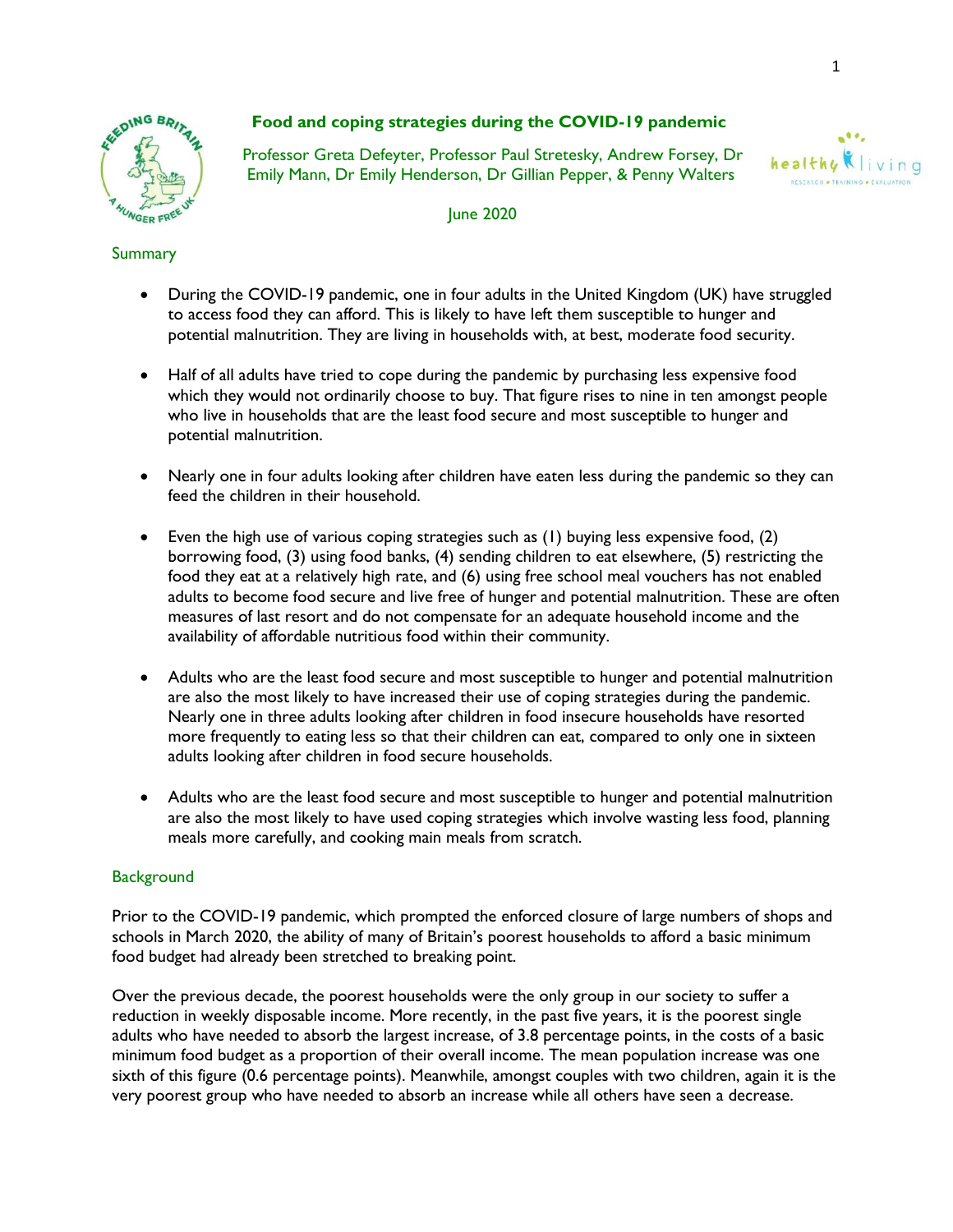

# **Food and coping strategies during the COVID-19 pandemic**

 Professor Greta Defeyter, Professor Paul Stretesky, Andrew Forsey, Dr Emily Mann, Dr Emily Henderson, Dr Gillian Pepper, & Penny Walters



June 2020

## Summary

- During the COVID-19 pandemic, one in four adults in the United Kingdom (UK) have struggled to access food they can afford. This is likely to have left them susceptible to hunger and potential malnutrition. They are living in households with, at best, moderate food security.
- Half of all adults have tried to cope during the pandemic by purchasing less expensive food which they would not ordinarily choose to buy. That figure rises to nine in ten amongst people who live in households that are the least food secure and most susceptible to hunger and potential malnutrition.
- Nearly one in four adults looking after children have eaten less during the pandemic so they can feed the children in their household.
- Even the high use of various coping strategies such as (1) buying less expensive food, (2) borrowing food, (3) using food banks, (4) sending children to eat elsewhere, (5) restricting the food they eat at a relatively high rate, and (6) using free school meal vouchers has not enabled adults to become food secure and live free of hunger and potential malnutrition. These are often measures of last resort and do not compensate for an adequate household income and the availability of affordable nutritious food within their community.
- Adults who are the least food secure and most susceptible to hunger and potential malnutrition are also the most likely to have increased their use of coping strategies during the pandemic. Nearly one in three adults looking after children in food insecure households have resorted more frequently to eating less so that their children can eat, compared to only one in sixteen adults looking after children in food secure households.
- Adults who are the least food secure and most susceptible to hunger and potential malnutrition are also the most likely to have used coping strategies which involve wasting less food, planning meals more carefully, and cooking main meals from scratch.

### **Background**

Prior to the COVID-19 pandemic, which prompted the enforced closure of large numbers of shops and schools in March 2020, the ability of many of Britain's poorest households to afford a basic minimum food budget had already been stretched to breaking point.

Over the previous decade, the poorest households were the only group in our society to suffer a reduction in weekly disposable income. More recently, in the past five years, it is the poorest single adults who have needed to absorb the largest increase, of 3.8 percentage points, in the costs of a basic minimum food budget as a proportion of their overall income. The mean population increase was one sixth of this figure (0.6 percentage points). Meanwhile, amongst couples with two children, again it is the very poorest group who have needed to absorb an increase while all others have seen a decrease.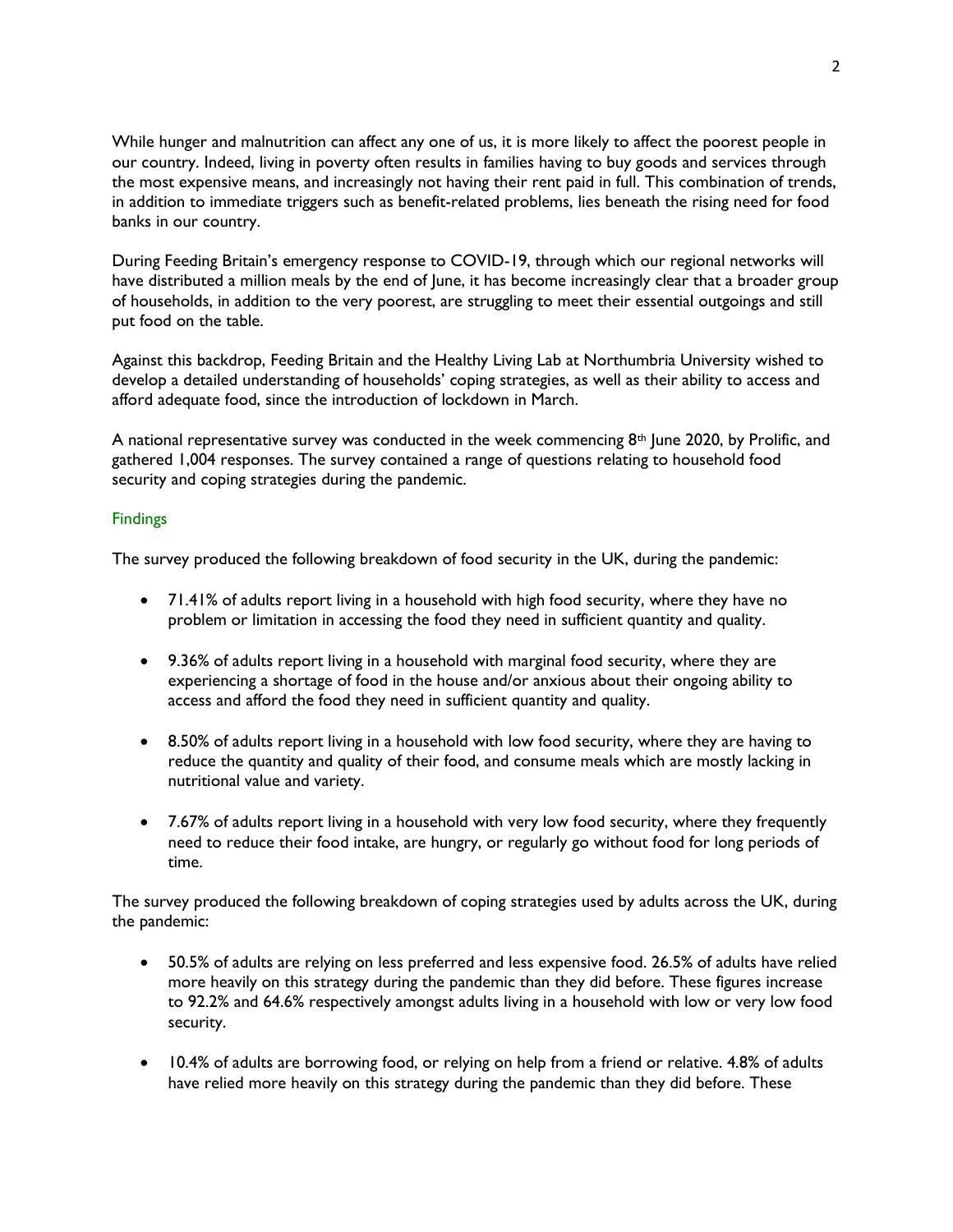While hunger and malnutrition can affect any one of us, it is more likely to affect the poorest people in our country. Indeed, living in poverty often results in families having to buy goods and services through the most expensive means, and increasingly not having their rent paid in full. This combination of trends, in addition to immediate triggers such as benefit-related problems, lies beneath the rising need for food banks in our country.

During Feeding Britain's emergency response to COVID-19, through which our regional networks will have distributed a million meals by the end of June, it has become increasingly clear that a broader group of households, in addition to the very poorest, are struggling to meet their essential outgoings and still put food on the table.

Against this backdrop, Feeding Britain and the Healthy Living Lab at Northumbria University wished to develop a detailed understanding of households' coping strategies, as well as their ability to access and afford adequate food, since the introduction of lockdown in March.

A national representative survey was conducted in the week commencing  $8<sup>th</sup>$  June 2020, by Prolific, and gathered 1,004 responses. The survey contained a range of questions relating to household food security and coping strategies during the pandemic.

#### Findings

The survey produced the following breakdown of food security in the UK, during the pandemic:

- 71.41% of adults report living in a household with high food security, where they have no problem or limitation in accessing the food they need in sufficient quantity and quality.
- 9.36% of adults report living in a household with marginal food security, where they are experiencing a shortage of food in the house and/or anxious about their ongoing ability to access and afford the food they need in sufficient quantity and quality.
- 8.50% of adults report living in a household with low food security, where they are having to reduce the quantity and quality of their food, and consume meals which are mostly lacking in nutritional value and variety.
- 7.67% of adults report living in a household with very low food security, where they frequently need to reduce their food intake, are hungry, or regularly go without food for long periods of time.

The survey produced the following breakdown of coping strategies used by adults across the UK, during the pandemic:

- 50.5% of adults are relying on less preferred and less expensive food. 26.5% of adults have relied more heavily on this strategy during the pandemic than they did before. These figures increase to 92.2% and 64.6% respectively amongst adults living in a household with low or very low food security.
- 10.4% of adults are borrowing food, or relying on help from a friend or relative. 4.8% of adults have relied more heavily on this strategy during the pandemic than they did before. These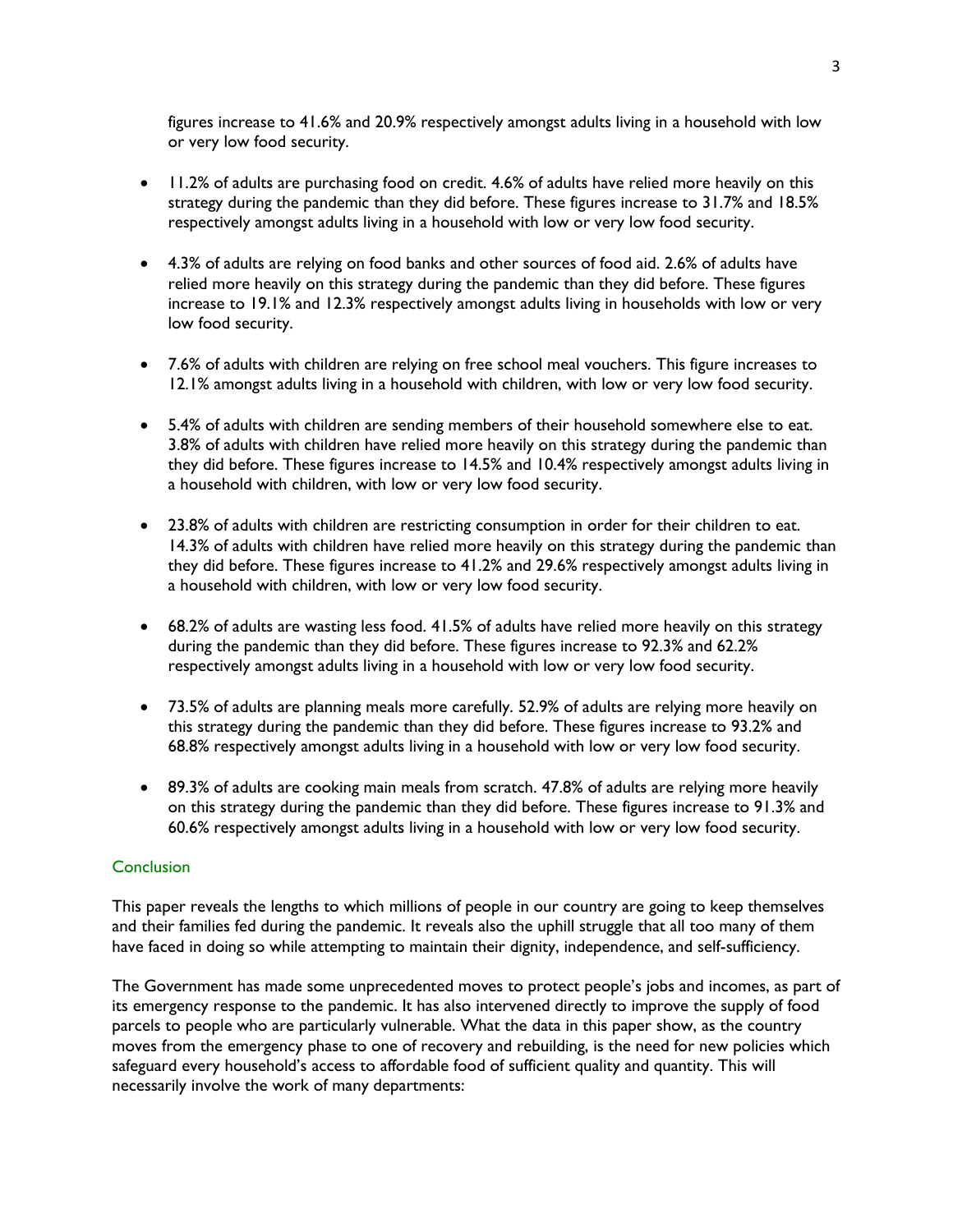figures increase to 41.6% and 20.9% respectively amongst adults living in a household with low or very low food security.

- 11.2% of adults are purchasing food on credit. 4.6% of adults have relied more heavily on this strategy during the pandemic than they did before. These figures increase to 31.7% and 18.5% respectively amongst adults living in a household with low or very low food security.
- 4.3% of adults are relying on food banks and other sources of food aid. 2.6% of adults have relied more heavily on this strategy during the pandemic than they did before. These figures increase to 19.1% and 12.3% respectively amongst adults living in households with low or very low food security.
- 7.6% of adults with children are relying on free school meal vouchers. This figure increases to 12.1% amongst adults living in a household with children, with low or very low food security.
- 5.4% of adults with children are sending members of their household somewhere else to eat. 3.8% of adults with children have relied more heavily on this strategy during the pandemic than they did before. These figures increase to 14.5% and 10.4% respectively amongst adults living in a household with children, with low or very low food security.
- 23.8% of adults with children are restricting consumption in order for their children to eat. 14.3% of adults with children have relied more heavily on this strategy during the pandemic than they did before. These figures increase to 41.2% and 29.6% respectively amongst adults living in a household with children, with low or very low food security.
- 68.2% of adults are wasting less food. 41.5% of adults have relied more heavily on this strategy during the pandemic than they did before. These figures increase to 92.3% and 62.2% respectively amongst adults living in a household with low or very low food security.
- 73.5% of adults are planning meals more carefully. 52.9% of adults are relying more heavily on this strategy during the pandemic than they did before. These figures increase to 93.2% and 68.8% respectively amongst adults living in a household with low or very low food security.
- 89.3% of adults are cooking main meals from scratch. 47.8% of adults are relying more heavily on this strategy during the pandemic than they did before. These figures increase to 91.3% and 60.6% respectively amongst adults living in a household with low or very low food security.

### **Conclusion**

This paper reveals the lengths to which millions of people in our country are going to keep themselves and their families fed during the pandemic. It reveals also the uphill struggle that all too many of them have faced in doing so while attempting to maintain their dignity, independence, and self-sufficiency.

The Government has made some unprecedented moves to protect people's jobs and incomes, as part of its emergency response to the pandemic. It has also intervened directly to improve the supply of food parcels to people who are particularly vulnerable. What the data in this paper show, as the country moves from the emergency phase to one of recovery and rebuilding, is the need for new policies which safeguard every household's access to affordable food of sufficient quality and quantity. This will necessarily involve the work of many departments: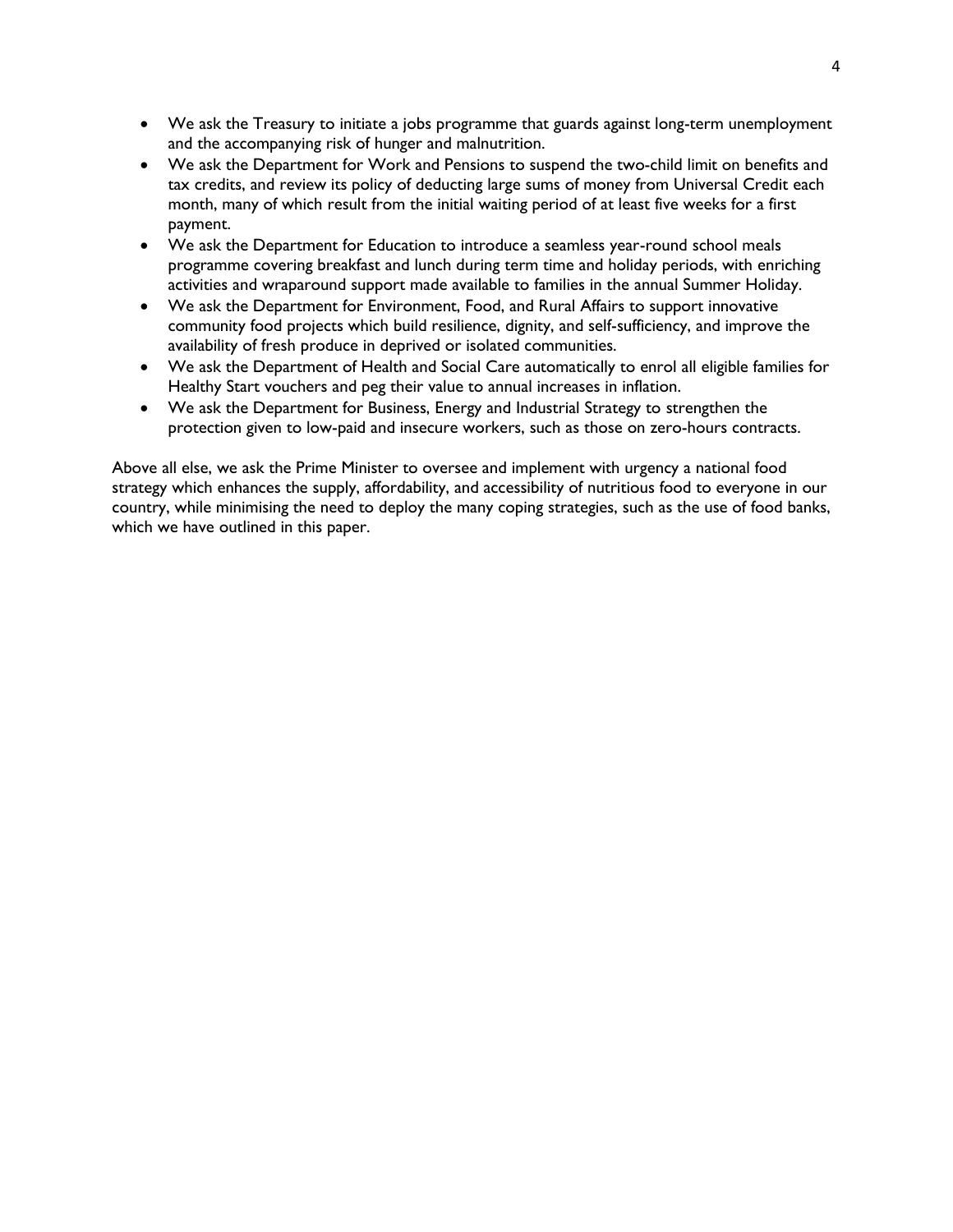- We ask the Treasury to initiate a jobs programme that guards against long-term unemployment and the accompanying risk of hunger and malnutrition.
- We ask the Department for Work and Pensions to suspend the two-child limit on benefits and tax credits, and review its policy of deducting large sums of money from Universal Credit each month, many of which result from the initial waiting period of at least five weeks for a first payment.
- We ask the Department for Education to introduce a seamless year-round school meals programme covering breakfast and lunch during term time and holiday periods, with enriching activities and wraparound support made available to families in the annual Summer Holiday.
- We ask the Department for Environment, Food, and Rural Affairs to support innovative community food projects which build resilience, dignity, and self-sufficiency, and improve the availability of fresh produce in deprived or isolated communities.
- We ask the Department of Health and Social Care automatically to enrol all eligible families for Healthy Start vouchers and peg their value to annual increases in inflation.
- We ask the Department for Business, Energy and Industrial Strategy to strengthen the protection given to low-paid and insecure workers, such as those on zero-hours contracts.

Above all else, we ask the Prime Minister to oversee and implement with urgency a national food strategy which enhances the supply, affordability, and accessibility of nutritious food to everyone in our country, while minimising the need to deploy the many coping strategies, such as the use of food banks, which we have outlined in this paper.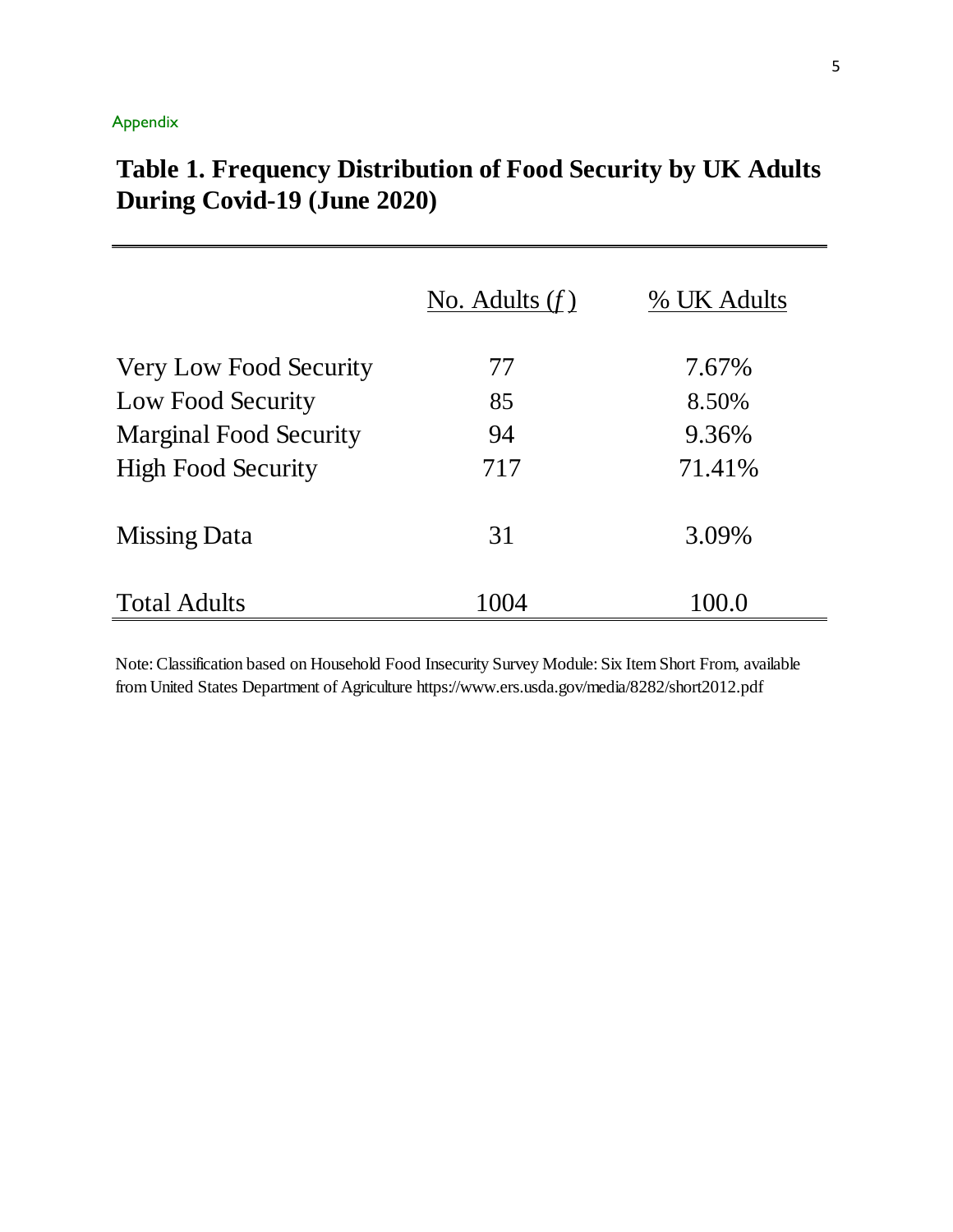# Appendix

|                               | No. Adults $(f)$ | % UK Adults |
|-------------------------------|------------------|-------------|
| <b>Very Low Food Security</b> | 77               | 7.67%       |
| Low Food Security             | 85               | 8.50%       |
| <b>Marginal Food Security</b> | 94               | 9.36%       |
| <b>High Food Security</b>     | 717              | 71.41%      |
| <b>Missing Data</b>           | 31               | 3.09%       |
| <b>Total Adults</b>           | 1004             | 100.0       |

# **Table 1. Frequency Distribution of Food Security by UK Adults During Covid-19 (June 2020)**

Note: Classification based on Household Food Insecurity Survey Module: Six Item Short From, available from United States Department of Agriculture https://www.ers.usda.gov/media/8282/short2012.pdf